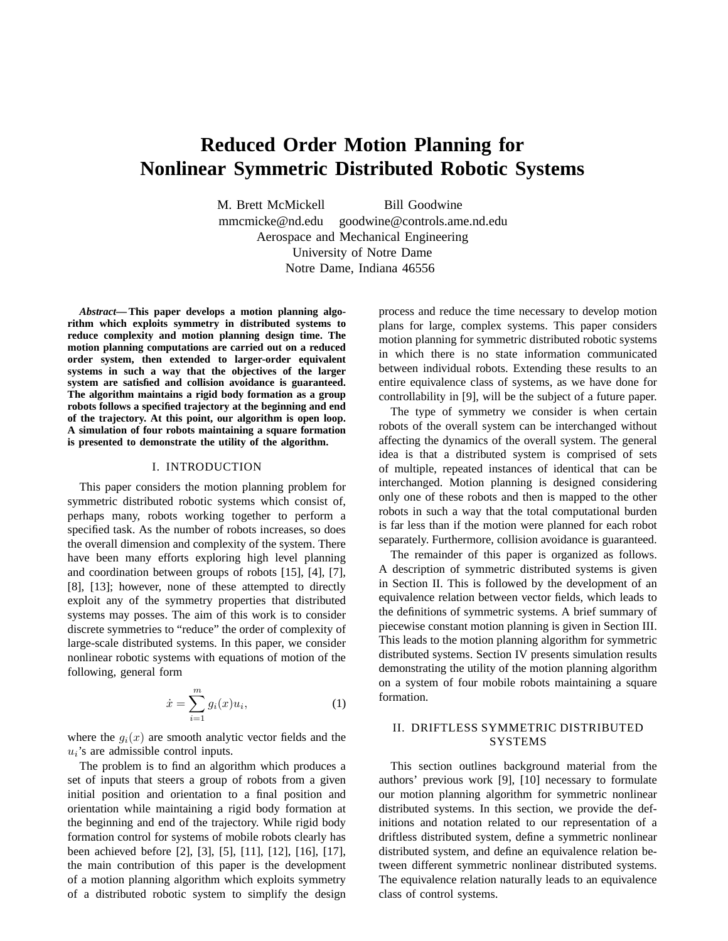# **Reduced Order Motion Planning for Nonlinear Symmetric Distributed Robotic Systems**

M. Brett McMickell Bill Goodwine mmcmicke@nd.edu goodwine@controls.ame.nd.edu Aerospace and Mechanical Engineering University of Notre Dame Notre Dame, Indiana 46556

*Abstract***—This paper develops a motion planning algorithm which exploits symmetry in distributed systems to reduce complexity and motion planning design time. The motion planning computations are carried out on a reduced order system, then extended to larger-order equivalent systems in such a way that the objectives of the larger system are satisfied and collision avoidance is guaranteed. The algorithm maintains a rigid body formation as a group robots follows a specified trajectory at the beginning and end of the trajectory. At this point, our algorithm is open loop. A simulation of four robots maintaining a square formation is presented to demonstrate the utility of the algorithm.**

#### I. INTRODUCTION

This paper considers the motion planning problem for symmetric distributed robotic systems which consist of, perhaps many, robots working together to perform a specified task. As the number of robots increases, so does the overall dimension and complexity of the system. There have been many efforts exploring high level planning and coordination between groups of robots [15], [4], [7], [8], [13]; however, none of these attempted to directly exploit any of the symmetry properties that distributed systems may posses. The aim of this work is to consider discrete symmetries to "reduce" the order of complexity of large-scale distributed systems. In this paper, we consider nonlinear robotic systems with equations of motion of the following, general form

$$
\dot{x} = \sum_{i=1}^{m} g_i(x) u_i,\tag{1}
$$

where the  $g_i(x)$  are smooth analytic vector fields and the  $u_i$ 's are admissible control inputs.

The problem is to find an algorithm which produces a set of inputs that steers a group of robots from a given initial position and orientation to a final position and orientation while maintaining a rigid body formation at the beginning and end of the trajectory. While rigid body formation control for systems of mobile robots clearly has been achieved before [2], [3], [5], [11], [12], [16], [17], the main contribution of this paper is the development of a motion planning algorithm which exploits symmetry of a distributed robotic system to simplify the design

process and reduce the time necessary to develop motion plans for large, complex systems. This paper considers motion planning for symmetric distributed robotic systems in which there is no state information communicated between individual robots. Extending these results to an entire equivalence class of systems, as we have done for controllability in [9], will be the subject of a future paper.

The type of symmetry we consider is when certain robots of the overall system can be interchanged without affecting the dynamics of the overall system. The general idea is that a distributed system is comprised of sets of multiple, repeated instances of identical that can be interchanged. Motion planning is designed considering only one of these robots and then is mapped to the other robots in such a way that the total computational burden is far less than if the motion were planned for each robot separately. Furthermore, collision avoidance is guaranteed.

The remainder of this paper is organized as follows. A description of symmetric distributed systems is given in Section II. This is followed by the development of an equivalence relation between vector fields, which leads to the definitions of symmetric systems. A brief summary of piecewise constant motion planning is given in Section III. This leads to the motion planning algorithm for symmetric distributed systems. Section IV presents simulation results demonstrating the utility of the motion planning algorithm on a system of four mobile robots maintaining a square formation.

# II. DRIFTLESS SYMMETRIC DISTRIBUTED SYSTEMS

This section outlines background material from the authors' previous work [9], [10] necessary to formulate our motion planning algorithm for symmetric nonlinear distributed systems. In this section, we provide the definitions and notation related to our representation of a driftless distributed system, define a symmetric nonlinear distributed system, and define an equivalence relation between different symmetric nonlinear distributed systems. The equivalence relation naturally leads to an equivalence class of control systems.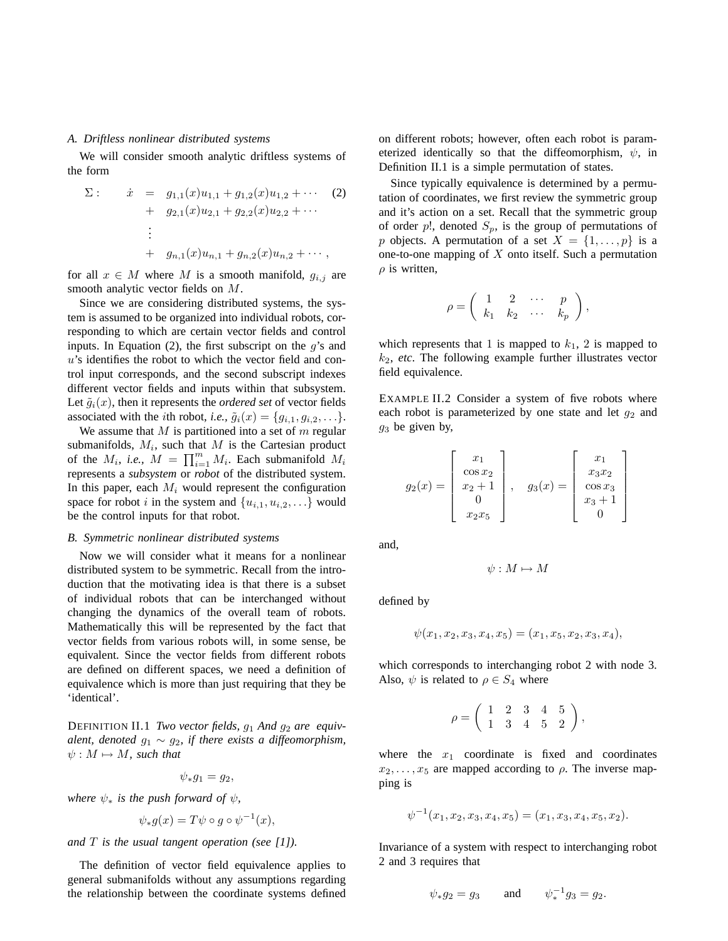# *A. Driftless nonlinear distributed systems*

We will consider smooth analytic driftless systems of the form

$$
\Sigma: \n\dot{x} = g_{1,1}(x)u_{1,1} + g_{1,2}(x)u_{1,2} + \cdots \n\quad (2)
$$
\n
$$
+ g_{2,1}(x)u_{2,1} + g_{2,2}(x)u_{2,2} + \cdots
$$
\n
$$
\vdots
$$
\n
$$
+ g_{n,1}(x)u_{n,1} + g_{n,2}(x)u_{n,2} + \cdots,
$$

for all  $x \in M$  where M is a smooth manifold,  $g_{i,j}$  are smooth analytic vector fields on M.

Since we are considering distributed systems, the system is assumed to be organized into individual robots, corresponding to which are certain vector fields and control inputs. In Equation (2), the first subscript on the  $q$ 's and  $u$ 's identifies the robot to which the vector field and control input corresponds, and the second subscript indexes different vector fields and inputs within that subsystem. Let  $\tilde{g}_i(x)$ , then it represents the *ordered set* of vector fields associated with the *i*th robot, *i.e.*,  $\tilde{g}_i(x) = \{g_{i,1}, g_{i,2}, \ldots\}.$ 

We assume that  $M$  is partitioned into a set of  $m$  regular submanifolds,  $M_i$ , such that  $M$  is the Cartesian product of the  $M_i$ , *i.e.*,  $M = \prod_{i=1}^m M_i$ . Each submanifold  $M_i$ represents a *subsystem* or *robot* of the distributed system. In this paper, each  $M_i$  would represent the configuration space for robot i in the system and  $\{u_{i,1}, u_{i,2}, \ldots\}$  would be the control inputs for that robot.

## *B. Symmetric nonlinear distributed systems*

Now we will consider what it means for a nonlinear distributed system to be symmetric. Recall from the introduction that the motivating idea is that there is a subset of individual robots that can be interchanged without changing the dynamics of the overall team of robots. Mathematically this will be represented by the fact that vector fields from various robots will, in some sense, be equivalent. Since the vector fields from different robots are defined on different spaces, we need a definition of equivalence which is more than just requiring that they be 'identical'.

DEFINITION II.1 *Two vector fields, g<sub>1</sub></sub> And g<sub>2</sub> are <i>equivalent, denoted*  $g_1 \sim g_2$ , *if there exists a diffeomorphism,*  $\psi : M \mapsto M$ *, such that* 

 $\psi_* q_1 = q_2,$ 

*where*  $\psi_*$  *is the push forward of*  $\psi$ *,* 

$$
\psi_*g(x) = T\psi \circ g \circ \psi^{-1}(x),
$$

*and* T *is the usual tangent operation (see [1]).*

The definition of vector field equivalence applies to general submanifolds without any assumptions regarding the relationship between the coordinate systems defined on different robots; however, often each robot is parameterized identically so that the diffeomorphism,  $\psi$ , in Definition II.1 is a simple permutation of states.

Since typically equivalence is determined by a permutation of coordinates, we first review the symmetric group and it's action on a set. Recall that the symmetric group of order p!, denoted  $S_p$ , is the group of permutations of p objects. A permutation of a set  $X = \{1, \ldots, p\}$  is a one-to-one mapping of  $X$  onto itself. Such a permutation  $\rho$  is written,

$$
\rho = \left( \begin{array}{cccc} 1 & 2 & \cdots & p \\ k_1 & k_2 & \cdots & k_p \end{array} \right),
$$

which represents that 1 is mapped to  $k_1$ , 2 is mapped to k2, *etc*. The following example further illustrates vector field equivalence.

EXAMPLE II.2 Consider a system of five robots where each robot is parameterized by one state and let  $q_2$  and  $g_3$  be given by,

$$
g_2(x) = \begin{bmatrix} x_1 \\ \cos x_2 \\ x_2 + 1 \\ 0 \\ x_2 x_5 \end{bmatrix}, \quad g_3(x) = \begin{bmatrix} x_1 \\ x_3 x_2 \\ \cos x_3 \\ x_3 + 1 \\ 0 \end{bmatrix}
$$

and,

$$
\psi: M \mapsto M
$$

defined by

$$
\psi(x_1, x_2, x_3, x_4, x_5) = (x_1, x_5, x_2, x_3, x_4),
$$

which corresponds to interchanging robot 2 with node 3. Also,  $\psi$  is related to  $\rho \in S_4$  where

$$
\rho = \left( \begin{array}{rrrr} 1 & 2 & 3 & 4 & 5 \\ 1 & 3 & 4 & 5 & 2 \end{array} \right),
$$

where the  $x_1$  coordinate is fixed and coordinates  $x_2, \ldots, x_5$  are mapped according to  $\rho$ . The inverse mapping is

$$
\psi^{-1}(x_1, x_2, x_3, x_4, x_5) = (x_1, x_3, x_4, x_5, x_2).
$$

Invariance of a system with respect to interchanging robot 2 and 3 requires that

$$
\psi_* g_2 = g_3
$$
 and  $\psi_*^{-1} g_3 = g_2$ .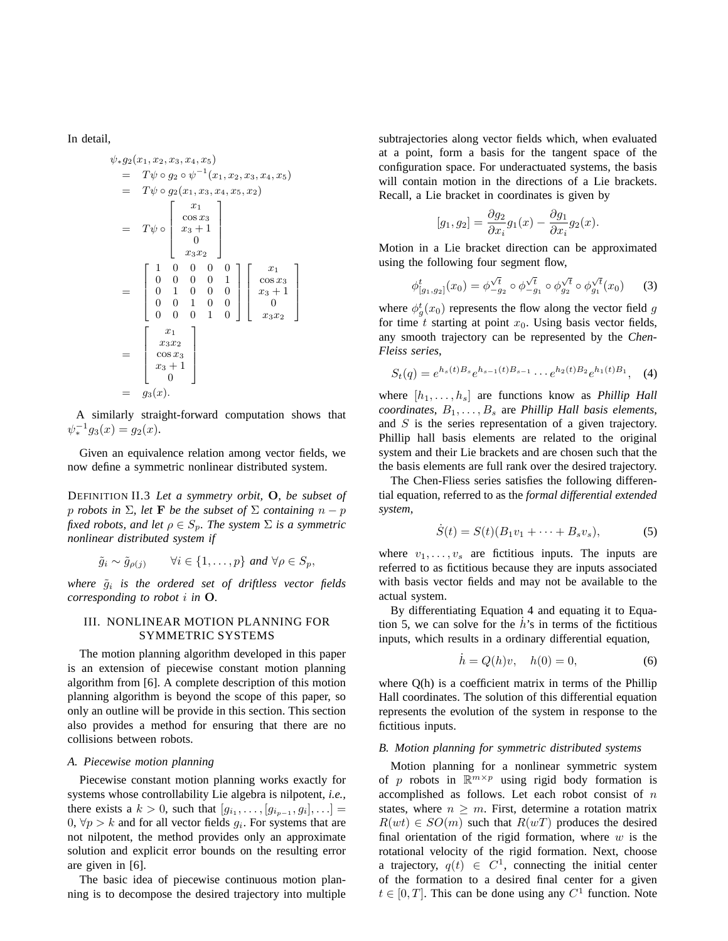In detail,

$$
\psi_* g_2(x_1, x_2, x_3, x_4, x_5)
$$
\n
$$
= T\psi \circ g_2 \circ \psi^{-1}(x_1, x_2, x_3, x_4, x_5)
$$
\n
$$
= T\psi \circ g_2(x_1, x_3, x_4, x_5, x_2)
$$
\n
$$
= T\psi \circ \begin{bmatrix} x_1 \\ \cos x_3 \\ x_3 + 1 \\ 0 \\ x_3 x_2 \end{bmatrix}
$$
\n
$$
= \begin{bmatrix} 1 & 0 & 0 & 0 & 0 \\ 0 & 0 & 0 & 0 & 1 \\ 0 & 1 & 0 & 0 & 0 \\ 0 & 0 & 1 & 0 & 0 \\ 0 & 0 & 0 & 1 & 0 \end{bmatrix} \begin{bmatrix} x_1 \\ \cos x_3 \\ x_3 + 1 \\ 0 \\ x_3 x_2 \end{bmatrix}
$$
\n
$$
= \begin{bmatrix} x_1 \\ x_3 x_2 \\ \cos x_3 \\ x_3 + 1 \\ 0 \\ 0 \end{bmatrix}
$$
\n
$$
= g_3(x).
$$

A similarly straight-forward computation shows that  $\psi_*^{-1} g_3(x) = g_2(x).$ 

Given an equivalence relation among vector fields, we now define a symmetric nonlinear distributed system.

DEFINITION II.3 *Let a symmetry orbit,* O*, be subset of p robots in*  $\Sigma$ *, let* **F** *be the subset of*  $\Sigma$  *containing*  $n - p$ *fixed robots, and let*  $\rho \in S_p$ *. The system*  $\Sigma$  *is a symmetric nonlinear distributed system if*

$$
\tilde{g}_i \sim \tilde{g}_{\rho(j)}
$$
  $\forall i \in \{1, \ldots, p\} \text{ and } \forall \rho \in S_p,$ 

*where* g˜<sup>i</sup> *is the ordered set of driftless vector fields corresponding to robot* i *in* O*.*

# III. NONLINEAR MOTION PLANNING FOR SYMMETRIC SYSTEMS

The motion planning algorithm developed in this paper is an extension of piecewise constant motion planning algorithm from [6]. A complete description of this motion planning algorithm is beyond the scope of this paper, so only an outline will be provide in this section. This section also provides a method for ensuring that there are no collisions between robots.

#### *A. Piecewise motion planning*

Piecewise constant motion planning works exactly for systems whose controllability Lie algebra is nilpotent, *i.e.,* there exists a  $k > 0$ , such that  $[g_{i_1},..., [g_{i_{p-1}}, g_i],...] =$  $0, \forall p > k$  and for all vector fields  $g_i$ . For systems that are not nilpotent, the method provides only an approximate solution and explicit error bounds on the resulting error are given in [6].

The basic idea of piecewise continuous motion planning is to decompose the desired trajectory into multiple subtrajectories along vector fields which, when evaluated at a point, form a basis for the tangent space of the configuration space. For underactuated systems, the basis will contain motion in the directions of a Lie brackets. Recall, a Lie bracket in coordinates is given by

$$
[g_1, g_2] = \frac{\partial g_2}{\partial x_i} g_1(x) - \frac{\partial g_1}{\partial x_i} g_2(x).
$$

Motion in a Lie bracket direction can be approximated using the following four segment flow,

$$
\phi_{[g_1,g_2]}^t(x_0) = \phi_{-g_2}^{\sqrt{t}} \circ \phi_{-g_1}^{\sqrt{t}} \circ \phi_{g_2}^{\sqrt{t}} \circ \phi_{g_1}^{\sqrt{t}}(x_0)
$$
 (3)

where  $\phi_g^t(x_0)$  represents the flow along the vector field g for time t starting at point  $x_0$ . Using basis vector fields, any smooth trajectory can be represented by the *Chen-Fleiss series*,

$$
S_t(q) = e^{h_s(t)B_s}e^{h_{s-1}(t)B_{s-1}}\cdots e^{h_2(t)B_2}e^{h_1(t)B_1}, \quad (4)
$$

where  $[h_1, \ldots, h_s]$  are functions know as *Phillip Hall coordinates*,  $B_1, \ldots, B_s$  are *Phillip Hall basis elements*, and  $S$  is the series representation of a given trajectory. Phillip hall basis elements are related to the original system and their Lie brackets and are chosen such that the the basis elements are full rank over the desired trajectory.

The Chen-Fliess series satisfies the following differential equation, referred to as the *formal differential extended system*,

$$
\dot{S}(t) = S(t)(B_1v_1 + \dots + B_sv_s), \tag{5}
$$

where  $v_1, \ldots, v_s$  are fictitious inputs. The inputs are referred to as fictitious because they are inputs associated with basis vector fields and may not be available to the actual system.

By differentiating Equation 4 and equating it to Equation 5, we can solve for the  $\dot{h}$ 's in terms of the fictitious inputs, which results in a ordinary differential equation,

$$
\dot{h} = Q(h)v, \quad h(0) = 0,\tag{6}
$$

where  $Q(h)$  is a coefficient matrix in terms of the Phillip Hall coordinates. The solution of this differential equation represents the evolution of the system in response to the fictitious inputs.

#### *B. Motion planning for symmetric distributed systems*

Motion planning for a nonlinear symmetric system of p robots in  $\mathbb{R}^{m \times p}$  using rigid body formation is accomplished as follows. Let each robot consist of  $n$ states, where  $n > m$ . First, determine a rotation matrix  $R(wt) \in SO(m)$  such that  $R(wT)$  produces the desired final orientation of the rigid formation, where  $w$  is the rotational velocity of the rigid formation. Next, choose a trajectory,  $q(t) \in C^1$ , connecting the initial center of the formation to a desired final center for a given  $t \in [0, T]$ . This can be done using any  $C^1$  function. Note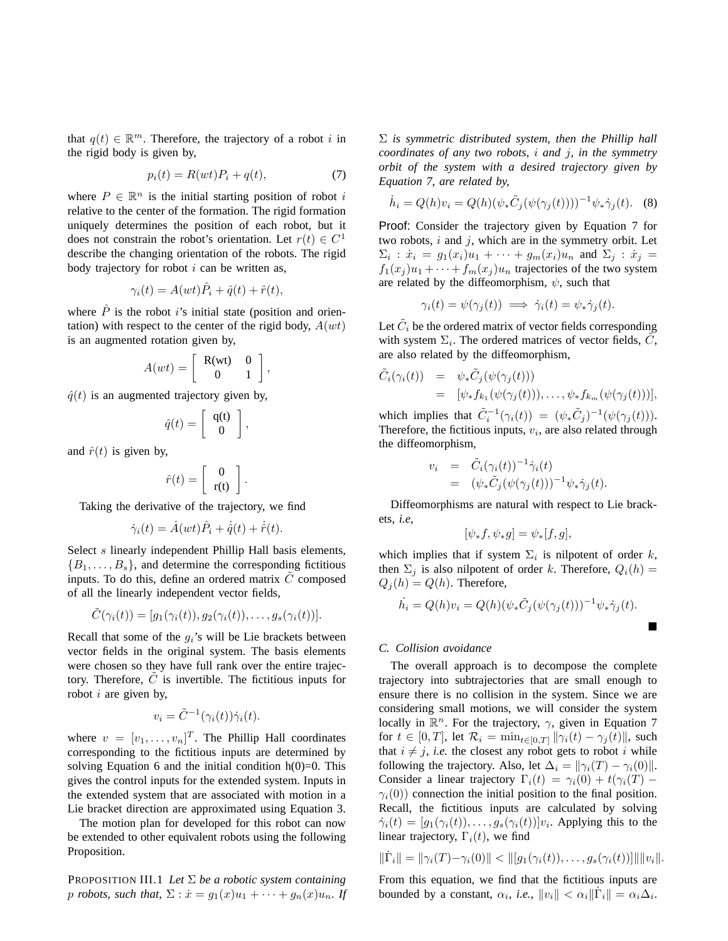that  $q(t) \in \mathbb{R}^m$ . Therefore, the trajectory of a robot i in the rigid body is given by,

$$
p_i(t) = R(wt)P_i + q(t),\tag{7}
$$

where  $P \in \mathbb{R}^n$  is the initial starting position of robot i relative to the center of the formation. The rigid formation uniquely determines the position of each robot, but it does not constrain the robot's orientation. Let  $r(t) \in C^1$ describe the changing orientation of the robots. The rigid body trajectory for robot  $i$  can be written as,

$$
\gamma_i(t) = A(wt)\hat{P}_i + \hat{q}(t) + \hat{r}(t),
$$

where  $\hat{P}$  is the robot i's initial state (position and orientation) with respect to the center of the rigid body,  $A(wt)$ is an augmented rotation given by,

$$
A(wt) = \left[ \begin{array}{cc} \mathbf{R}(wt) & 0 \\ 0 & 1 \end{array} \right],
$$

 $\hat{q}(t)$  is an augmented trajectory given by,

$$
\hat{q}(t) = \left[ \begin{array}{c} q(t) \\ 0 \end{array} \right],
$$

and  $\hat{r}(t)$  is given by,

$$
\hat{r}(t) = \left[ \begin{array}{c} 0 \\ \mathbf{r}(t) \end{array} \right].
$$

Taking the derivative of the trajectory, we find

$$
\dot{\gamma}_i(t) = \dot{A}(wt)\hat{P}_i + \dot{\hat{q}}(t) + \dot{\hat{r}}(t).
$$

Select s linearly independent Phillip Hall basis elements,  ${B_1, \ldots, B_s}$ , and determine the corresponding fictitious inputs. To do this, define an ordered matrix  $C$  composed of all the linearly independent vector fields,

$$
\tilde{C}(\gamma_i(t)) = [g_1(\gamma_i(t)), g_2(\gamma_i(t)), \dots, g_s(\gamma_i(t))].
$$

Recall that some of the  $g_i$ 's will be Lie brackets between vector fields in the original system. The basis elements were chosen so they have full rank over the entire trajectory. Therefore,  $\tilde{C}$  is invertible. The fictitious inputs for robot  $i$  are given by,

$$
v_i = \tilde{C}^{-1}(\gamma_i(t))\dot{\gamma}_i(t).
$$

where  $v = [v_1, \dots, v_n]^T$ . The Phillip Hall coordinates corresponding to the fictitious inputs are determined by solving Equation 6 and the initial condition  $h(0)=0$ . This gives the control inputs for the extended system. Inputs in the extended system that are associated with motion in a Lie bracket direction are approximated using Equation 3.

The motion plan for developed for this robot can now be extended to other equivalent robots using the following Proposition.

PROPOSITION III.1 Let  $\Sigma$  be a robotic system containing p *robots, such that,*  $\Sigma$  :  $\dot{x} = g_1(x)u_1 + \cdots + g_n(x)u_n$ . If Σ *is symmetric distributed system, then the Phillip hall coordinates of any two robots,* i *and* j*, in the symmetry orbit of the system with a desired trajectory given by Equation 7, are related by,*

$$
\dot{h}_i = Q(h)v_i = Q(h)(\psi_* \tilde{C}_j(\psi(\gamma_j(t))))^{-1} \psi_* \dot{\gamma}_j(t).
$$
 (8)

Proof: Consider the trajectory given by Equation 7 for two robots,  $i$  and  $j$ , which are in the symmetry orbit. Let  $\Sigma_i$  :  $\dot{x}_i = g_1(x_i)u_1 + \cdots + g_m(x_i)u_n$  and  $\Sigma_j$  :  $\dot{x}_j =$  $f_1(x_i)u_1 + \cdots + f_m(x_i)u_n$  trajectories of the two system are related by the diffeomorphism,  $\psi$ , such that

$$
\gamma_i(t) = \psi(\gamma_j(t)) \implies \dot{\gamma}_i(t) = \psi_* \dot{\gamma}_j(t).
$$

Let  $\tilde{C}_i$  be the ordered matrix of vector fields corresponding with system  $\Sigma_i$ . The ordered matrices of vector fields,  $\tilde{C}$ , are also related by the diffeomorphism,

$$
\tilde{C}_i(\gamma_i(t)) = \psi_* \tilde{C}_j(\psi(\gamma_j(t))) \n= [\psi_* f_{k_1}(\psi(\gamma_j(t))), \dots, \psi_* f_{k_m}(\psi(\gamma_j(t)))],
$$

which implies that  $\tilde{C}_i^{-1}(\gamma_i(t)) = (\psi_* \tilde{C}_j)^{-1}(\psi(\gamma_j(t))).$ Therefore, the fictitious inputs,  $v_i$ , are also related through the diffeomorphism,

$$
v_i = \tilde{C}_i(\gamma_i(t))^{-1} \dot{\gamma}_i(t)
$$
  
= 
$$
(\psi_* \tilde{C}_j(\psi(\gamma_j(t)))^{-1} \psi_* \dot{\gamma}_j(t).
$$

Diffeomorphisms are natural with respect to Lie brackets, *i.e*,

$$
[\psi_*f, \psi_*g] = \psi_*[f, g],
$$

which implies that if system  $\Sigma_i$  is nilpotent of order k, then  $\Sigma_i$  is also nilpotent of order k. Therefore,  $Q_i(h)$  =  $Q_i(h) = Q(h)$ . Therefore,

$$
\dot{h}_i = Q(h)v_i = Q(h)(\psi_* \tilde{C}_j(\psi(\gamma_j(t)))^{-1} \psi_* \dot{\gamma}_j(t).
$$

#### *C. Collision avoidance*

The overall approach is to decompose the complete trajectory into subtrajectories that are small enough to ensure there is no collision in the system. Since we are considering small motions, we will consider the system locally in  $\mathbb{R}^n$ . For the trajectory,  $\gamma$ , given in Equation 7 for  $t \in [0, T]$ , let  $\mathcal{R}_i = \min_{t \in [0, T]} ||\gamma_i(t) - \gamma_j(t)||$ , such that  $i \neq j$ , *i.e.* the closest any robot gets to robot i while following the trajectory. Also, let  $\Delta_i = ||\gamma_i(T) - \gamma_i(0)||$ . Consider a linear trajectory  $\Gamma_i(t) = \gamma_i(0) + t(\gamma_i(T))$  $\gamma_i(0)$  connection the initial position to the final position. Recall, the fictitious inputs are calculated by solving  $\dot{\gamma}_i(t) = [g_1(\gamma_i(t)), \dots, g_s(\gamma_i(t))]v_i$ . Applying this to the linear trajectory,  $\Gamma_i(t)$ , we find

$$
\|\dot{\Gamma}_i\| = \|\gamma_i(T) - \gamma_i(0)\| < \| [g_1(\gamma_i(t)), \dots, g_s(\gamma_i(t))] \| \|v_i\|.
$$

From this equation, we find that the fictitious inputs are bounded by a constant,  $\alpha_i$ , *i.e.*,  $||v_i|| < \alpha_i ||\dot{\Gamma}_i|| = \alpha_i \Delta_i$ .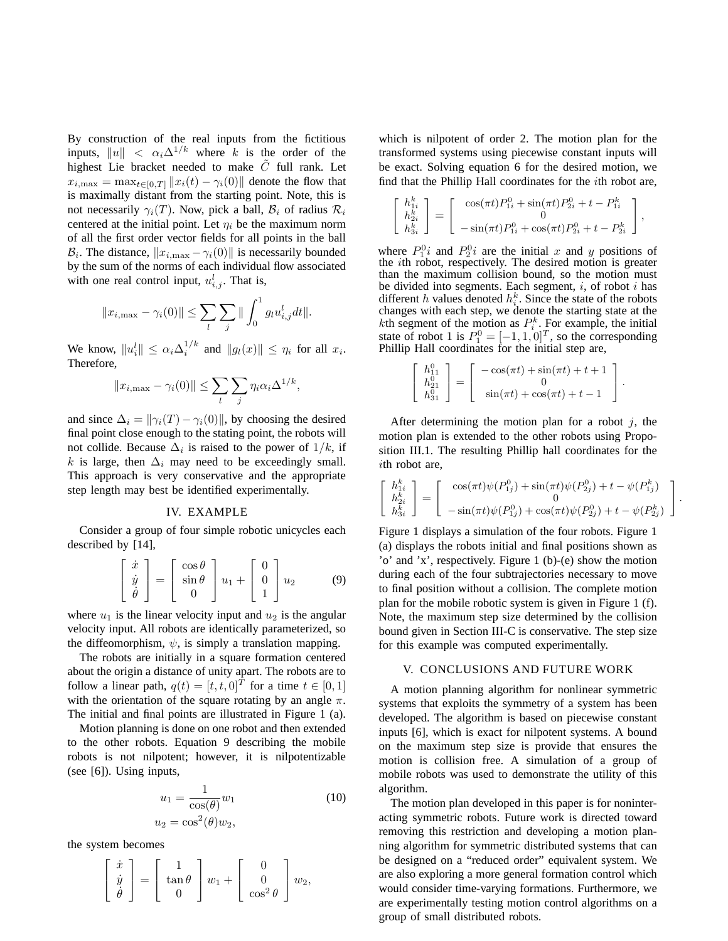By construction of the real inputs from the fictitious inputs,  $||u|| < \alpha_i \Delta^{1/k}$  where k is the order of the highest Lie bracket needed to make  $\tilde{C}$  full rank. Let  $x_{i,\max} = \max_{t \in [0,T]} ||x_i(t) - \gamma_i(0)||$  denote the flow that is maximally distant from the starting point. Note, this is not necessarily  $\gamma_i(T)$ . Now, pick a ball,  $\mathcal{B}_i$  of radius  $\mathcal{R}_i$ centered at the initial point. Let  $\eta_i$  be the maximum norm of all the first order vector fields for all points in the ball  $\mathcal{B}_i$ . The distance,  $||x_{i,\text{max}} - \gamma_i(0)||$  is necessarily bounded by the sum of the norms of each individual flow associated with one real control input,  $u_{i,j}^l$ . That is,

$$
||x_{i,\max} - \gamma_i(0)|| \le \sum_l \sum_j ||\int_0^1 g_l u_{i,j}^l dt||.
$$

We know,  $||u_i^l|| \leq \alpha_i \Delta_i^{1/k}$  and  $||g_l(x)|| \leq \eta_i$  for all  $x_i$ . Therefore,

$$
||x_{i,\max} - \gamma_i(0)|| \le \sum_l \sum_j \eta_i \alpha_i \Delta^{1/k},
$$

and since  $\Delta_i = ||\gamma_i(T) - \gamma_i(0)||$ , by choosing the desired final point close enough to the stating point, the robots will not collide. Because  $\Delta_i$  is raised to the power of  $1/k$ , if k is large, then  $\Delta_i$  may need to be exceedingly small. This approach is very conservative and the appropriate step length may best be identified experimentally.

## IV. EXAMPLE

Consider a group of four simple robotic unicycles each described by [14],

$$
\begin{bmatrix} \dot{x} \\ \dot{y} \\ \dot{\theta} \end{bmatrix} = \begin{bmatrix} \cos \theta \\ \sin \theta \\ 0 \end{bmatrix} u_1 + \begin{bmatrix} 0 \\ 0 \\ 1 \end{bmatrix} u_2 \qquad (9)
$$

where  $u_1$  is the linear velocity input and  $u_2$  is the angular velocity input. All robots are identically parameterized, so the diffeomorphism,  $\psi$ , is simply a translation mapping.

The robots are initially in a square formation centered about the origin a distance of unity apart. The robots are to follow a linear path,  $q(t) = [t, t, 0]^T$  for a time  $t \in [0, 1]$ with the orientation of the square rotating by an angle  $\pi$ . The initial and final points are illustrated in Figure 1 (a).

Motion planning is done on one robot and then extended to the other robots. Equation 9 describing the mobile robots is not nilpotent; however, it is nilpotentizable (see [6]). Using inputs,

$$
u_1 = \frac{1}{\cos(\theta)} w_1
$$
  
\n
$$
u_2 = \cos^2(\theta) w_2,
$$
\n(10)

the system becomes

$$
\begin{bmatrix} \dot{x} \\ \dot{y} \\ \dot{\theta} \end{bmatrix} = \begin{bmatrix} 1 \\ \tan \theta \\ 0 \end{bmatrix} w_1 + \begin{bmatrix} 0 \\ 0 \\ \cos^2 \theta \end{bmatrix} w_2,
$$

which is nilpotent of order 2. The motion plan for the transformed systems using piecewise constant inputs will be exact. Solving equation 6 for the desired motion, we find that the Phillip Hall coordinates for the ith robot are,

$$
\begin{bmatrix} h_{1i}^k \\ h_{2i}^k \\ h_{3i}^k \end{bmatrix} = \begin{bmatrix} \cos(\pi t)P_{1i}^0 + \sin(\pi t)P_{2i}^0 + t - P_{1i}^k \\ 0 \\ -\sin(\pi t)P_{1i}^0 + \cos(\pi t)P_{2i}^0 + t - P_{2i}^k \end{bmatrix},
$$

where  $P_1^0 i$  and  $P_2^0 i$  are the initial x and y positions of the ith robot, respectively. The desired motion is greater than the maximum collision bound, so the motion must be divided into segments. Each segment,  $i$ , of robot  $i$  has different h values denoted  $h_i^k$ . Since the state of the robots changes with each step, we denote the starting state at the kth segment of the motion as  $P_i^k$ . For example, the initial state of robot 1 is  $P_1^0 = [-1, 1, 0]^T$ , so the corresponding Phillip Hall coordinates for the initial step are,

$$
\begin{bmatrix} h_{11}^0 \\ h_{21}^0 \\ h_{31}^0 \end{bmatrix} = \begin{bmatrix} -\cos(\pi t) + \sin(\pi t) + t + 1 \\ 0 \\ \sin(\pi t) + \cos(\pi t) + t - 1 \end{bmatrix}.
$$

After determining the motion plan for a robot  $j$ , the motion plan is extended to the other robots using Proposition III.1. The resulting Phillip hall coordinates for the ith robot are,

$$
\begin{bmatrix} h_{1i}^k \\ h_{2i}^k \\ h_{3i}^k \end{bmatrix} = \begin{bmatrix} \cos(\pi t)\psi(P_{1j}^0) + \sin(\pi t)\psi(P_{2j}^0) + t - \psi(P_{1j}^k) \\ 0 \\ -\sin(\pi t)\psi(P_{1j}^0) + \cos(\pi t)\psi(P_{2j}^0) + t - \psi(P_{2j}^k) \end{bmatrix}
$$

.

Figure 1 displays a simulation of the four robots. Figure 1 (a) displays the robots initial and final positions shown as 'o' and 'x', respectively. Figure 1 (b)-(e) show the motion during each of the four subtrajectories necessary to move to final position without a collision. The complete motion plan for the mobile robotic system is given in Figure 1 (f). Note, the maximum step size determined by the collision bound given in Section III-C is conservative. The step size for this example was computed experimentally.

## V. CONCLUSIONS AND FUTURE WORK

A motion planning algorithm for nonlinear symmetric systems that exploits the symmetry of a system has been developed. The algorithm is based on piecewise constant inputs [6], which is exact for nilpotent systems. A bound on the maximum step size is provide that ensures the motion is collision free. A simulation of a group of mobile robots was used to demonstrate the utility of this algorithm.

The motion plan developed in this paper is for noninteracting symmetric robots. Future work is directed toward removing this restriction and developing a motion planning algorithm for symmetric distributed systems that can be designed on a "reduced order" equivalent system. We are also exploring a more general formation control which would consider time-varying formations. Furthermore, we are experimentally testing motion control algorithms on a group of small distributed robots.